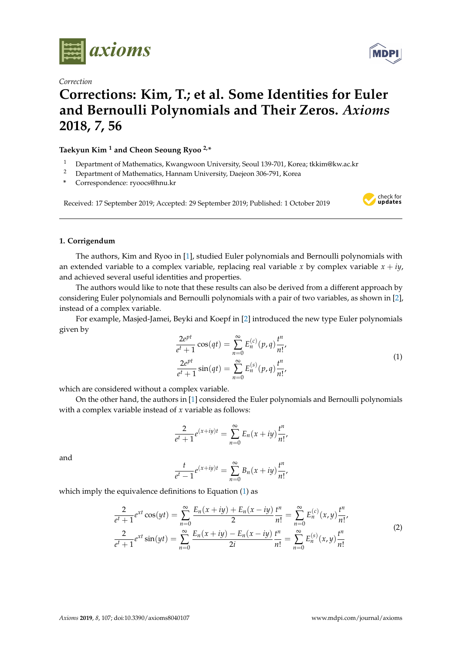

*Correction*

# **MDF**

## **Corrections: Kim, T.; et al. Some Identities for Euler and Bernoulli Polynomials and Their Zeros.** *Axioms* **2018,** *7***, 56**

**Taekyun Kim <sup>1</sup> and Cheon Seoung Ryoo 2,\***

- <sup>1</sup> Department of Mathematics, Kwangwoon University, Seoul 139-701, Korea; tkkim@kw.ac.kr
- <sup>2</sup> Department of Mathematics, Hannam University, Daejeon 306-791, Korea
- **\*** Correspondence: ryoocs@hnu.kr

Received: 17 September 2019; Accepted: 29 September 2019; Published: 1 October 2019



### **1. Corrigendum**

The authors, Kim and Ryoo in [\[1\]](#page-2-0), studied Euler polynomials and Bernoulli polynomials with an extended variable to a complex variable, replacing real variable *x* by complex variable  $x + iy$ , and achieved several useful identities and properties.

The authors would like to note that these results can also be derived from a different approach by considering Euler polynomials and Bernoulli polynomials with a pair of two variables, as shown in [\[2\]](#page-2-1), instead of a complex variable.

For example, Masjed-Jamei, Beyki and Koepf in [\[2\]](#page-2-1) introduced the new type Euler polynomials given by

<span id="page-0-0"></span>
$$
\frac{2e^{pt}}{e^t + 1} \cos(qt) = \sum_{n=0}^{\infty} E_n^{(c)}(p, q) \frac{t^n}{n!},
$$
  

$$
\frac{2e^{pt}}{e^t + 1} \sin(qt) = \sum_{n=0}^{\infty} E_n^{(s)}(p, q) \frac{t^n}{n!},
$$
 (1)

which are considered without a complex variable.

On the other hand, the authors in [\[1\]](#page-2-0) considered the Euler polynomials and Bernoulli polynomials with a complex variable instead of *x* variable as follows:

$$
\frac{2}{e^t+1}e^{(x+iy)t} = \sum_{n=0}^{\infty} E_n(x+iy)\frac{t^n}{n!},
$$

and

$$
\frac{t}{e^t-1}e^{(x+iy)t} = \sum_{n=0}^{\infty} B_n(x+iy)\frac{t^n}{n!},
$$

which imply the equivalence definitions to Equation [\(1\)](#page-0-0) as

<span id="page-0-1"></span>
$$
\frac{2}{e^t+1}e^{xt}\cos(yt) = \sum_{n=0}^{\infty}\frac{E_n(x+iy) + E_n(x-iy)}{2}\frac{t^n}{n!} = \sum_{n=0}^{\infty}E_n^{(c)}(x,y)\frac{t^n}{n!},
$$
\n
$$
\frac{2}{e^t+1}e^{xt}\sin(yt) = \sum_{n=0}^{\infty}\frac{E_n(x+iy) - E_n(x-iy)}{2i}\frac{t^n}{n!} = \sum_{n=0}^{\infty}E_n^{(s)}(x,y)\frac{t^n}{n!}
$$
\n(2)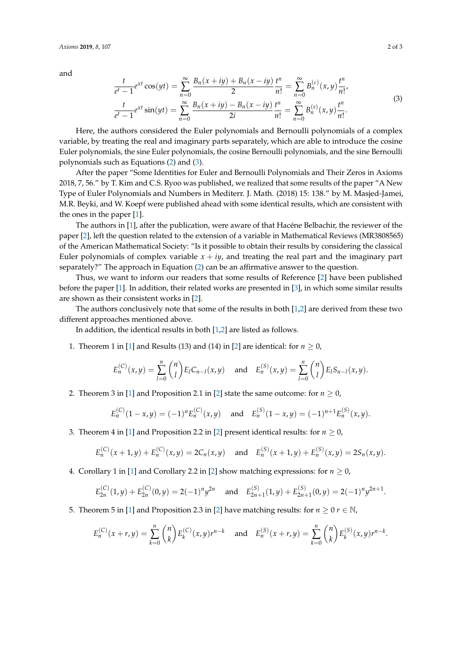and

<span id="page-1-0"></span>
$$
\frac{t}{e^t - 1} e^{xt} \cos(yt) = \sum_{n=0}^{\infty} \frac{B_n(x+iy) + B_n(x-iy)}{2} \frac{t^n}{n!} = \sum_{n=0}^{\infty} B_n^{(c)}(x,y) \frac{t^n}{n!},
$$
\n
$$
\frac{t}{e^t - 1} e^{xt} \sin(yt) = \sum_{n=0}^{\infty} \frac{B_n(x+iy) - B_n(x-iy)}{2i} \frac{t^n}{n!} = \sum_{n=0}^{\infty} B_n^{(s)}(x,y) \frac{t^n}{n!}.
$$
\n(3)

Here, the authors considered the Euler polynomials and Bernoulli polynomials of a complex variable, by treating the real and imaginary parts separately, which are able to introduce the cosine Euler polynomials, the sine Euler polynomials, the cosine Bernoulli polynomials, and the sine Bernoulli polynomials such as Equations [\(2\)](#page-0-1) and [\(3\)](#page-1-0).

After the paper "Some Identities for Euler and Bernoulli Polynomials and Their Zeros in Axioms 2018, 7, 56." by T. Kim and C.S. Ryoo was published, we realized that some results of the paper "A New Type of Euler Polynomials and Numbers in Mediterr. J. Math. (2018) 15: 138." by M. Masjed-Jamei, M.R. Beyki, and W. Koepf were published ahead with some identical results, which are consistent with the ones in the paper [\[1\]](#page-2-0).

The authors in [\[1\]](#page-2-0), after the publication, were aware of that Hacéne Belbachir, the reviewer of the paper [\[2\]](#page-2-1), left the question related to the extension of a variable in Mathematical Reviews (MR3808565) of the American Mathematical Society: "Is it possible to obtain their results by considering the classical Euler polynomials of complex variable  $x + iy$ , and treating the real part and the imaginary part separately?" The approach in Equation [\(2\)](#page-0-1) can be an affirmative answer to the question.

Thus, we want to inform our readers that some results of Reference [\[2\]](#page-2-1) have been published before the paper [\[1\]](#page-2-0). In addition, their related works are presented in [\[3\]](#page-2-2), in which some similar results are shown as their consistent works in [\[2\]](#page-2-1).

The authors conclusively note that some of the results in both [\[1](#page-2-0)[,2\]](#page-2-1) are derived from these two different approaches mentioned above.

In addition, the identical results in both [\[1](#page-2-0)[,2\]](#page-2-1) are listed as follows.

1. Theorem 1 in [\[1\]](#page-2-0) and Results (13) and (14) in [\[2\]](#page-2-1) are identical: for  $n \ge 0$ ,

$$
E_n^{(C)}(x,y) = \sum_{l=0}^n \binom{n}{l} E_l C_{n-l}(x,y) \text{ and } E_n^{(S)}(x,y) = \sum_{l=0}^n \binom{n}{l} E_l S_{n-l}(x,y).
$$

2. Theorem 3 in [\[1\]](#page-2-0) and Proposition 2.1 in [\[2\]](#page-2-1) state the same outcome: for  $n \ge 0$ ,

$$
E_n^{(C)}(1-x,y) = (-1)^n E_n^{(C)}(x,y) \quad \text{and} \quad E_n^{(S)}(1-x,y) = (-1)^{n+1} E_n^{(S)}(x,y).
$$

3. Theorem 4 in [\[1\]](#page-2-0) and Proposition 2.2 in [\[2\]](#page-2-1) present identical results: for  $n \ge 0$ ,

$$
E_n^{(C)}(x+1,y)+E_n^{(C)}(x,y)=2C_n(x,y) \text{ and } E_n^{(S)}(x+1,y)+E_n^{(S)}(x,y)=2S_n(x,y).
$$

4. Corollary 1 in [\[1\]](#page-2-0) and Corollary 2.2 in [\[2\]](#page-2-1) show matching expressions: for  $n \geq 0$ ,

$$
E_{2n}^{(C)}(1,y) + E_{2n}^{(C)}(0,y) = 2(-1)^n y^{2n} \quad \text{and} \quad E_{2n+1}^{(S)}(1,y) + E_{2n+1}^{(S)}(0,y) = 2(-1)^n y^{2n+1}.
$$

5. Theorem 5 in [\[1\]](#page-2-0) and Proposition 2.3 in [\[2\]](#page-2-1) have matching results: for  $n \geq 0$   $r \in \mathbb{N}$ ,

$$
E_n^{(C)}(x+r,y) = \sum_{k=0}^n \binom{n}{k} E_k^{(C)}(x,y)r^{n-k} \quad \text{and} \quad E_n^{(S)}(x+r,y) = \sum_{k=0}^n \binom{n}{k} E_k^{(S)}(x,y)r^{n-k}.
$$